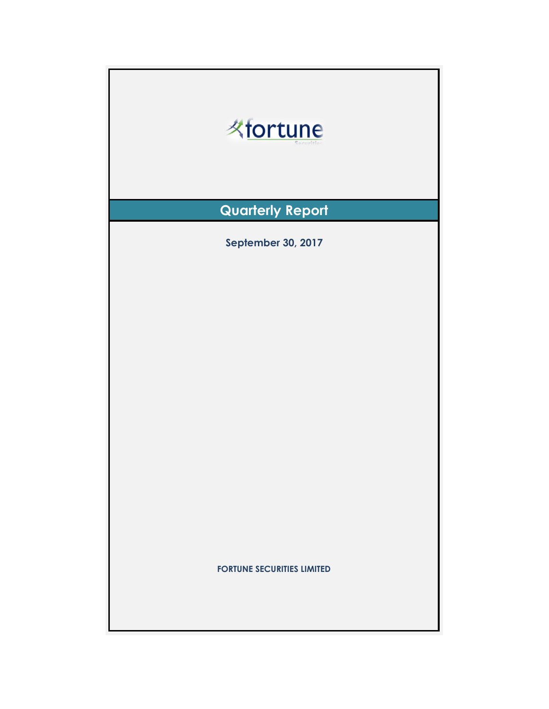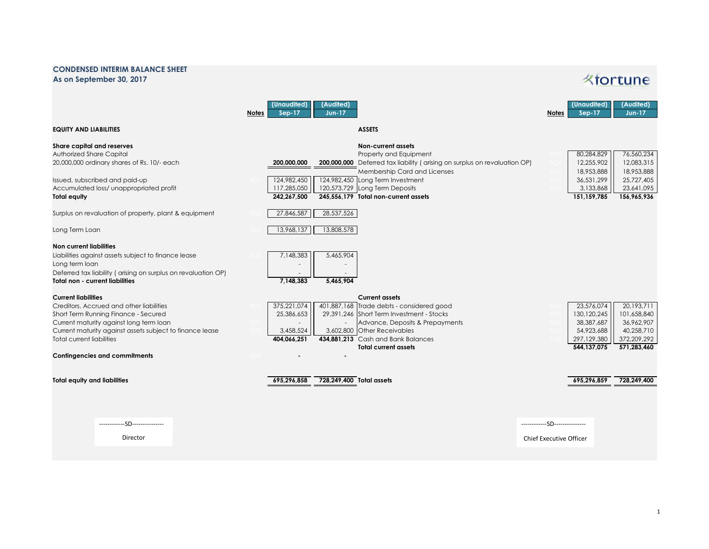## **CONDENSED INTERIM BALANCE SHEET As on September 30, 2017**

## *K*fortune

|                                                                                                                                                                                                                             | (Unaudited)<br>Sep-17<br>Notes                                         | (Audited)<br><b>Jun-17</b>                                                                                                                                                                                                                                                            | (Audited)<br>(Unaudited)<br><b>Jun-17</b><br>$Sep-17$<br><b>Notes</b>                                                                                                        |
|-----------------------------------------------------------------------------------------------------------------------------------------------------------------------------------------------------------------------------|------------------------------------------------------------------------|---------------------------------------------------------------------------------------------------------------------------------------------------------------------------------------------------------------------------------------------------------------------------------------|------------------------------------------------------------------------------------------------------------------------------------------------------------------------------|
| <b>EQUITY AND LIABILITIES</b>                                                                                                                                                                                               |                                                                        | <b>ASSETS</b>                                                                                                                                                                                                                                                                         |                                                                                                                                                                              |
| Share capital and reserves<br>Authorized Share Capital<br>20,000,000 ordinary shares of Rs. 10/- each<br>Issued, subscribed and paid-up<br>Accumulated loss/ unappropriated profit<br><b>Total equity</b>                   | 200,000,000<br>124,982,450<br>117,285,050<br>242,267,500<br>27,846,587 | Non-current assets<br>Property and Equipment<br>200,000,000 Deferred tax liability (arising on surplus on revaluation OP)<br>Membership Card and Licenses<br>124,982,450 Long Term Investment<br>120,573,729 Long Term Deposits<br>245,556,179 Total non-current assets<br>28,537,526 | 80,284,829<br>76,560,234<br>12,255,902<br>12,083,315<br>18,953,888<br>18,953,888<br>36,531,299<br>25,727,405<br>3,133,868<br>23,641,095<br>156,965,936<br>151, 159, 785      |
| Surplus on revaluation of property, plant & equipment                                                                                                                                                                       |                                                                        |                                                                                                                                                                                                                                                                                       |                                                                                                                                                                              |
| Long Term Loan                                                                                                                                                                                                              | 13,968,137                                                             | 13,808,578                                                                                                                                                                                                                                                                            |                                                                                                                                                                              |
| Non current liabilities<br>Liabilities against assets subject to finance lease<br>Long term loan<br>Deferred tax liability (arising on surplus on revaluation OP)<br><b>Total non - current liabilities</b>                 | 7,148,383<br>7,148,383                                                 | 5,465,904<br>5,465,904                                                                                                                                                                                                                                                                |                                                                                                                                                                              |
| <b>Current liabilities</b>                                                                                                                                                                                                  |                                                                        | <b>Current assets</b>                                                                                                                                                                                                                                                                 |                                                                                                                                                                              |
| Creditors, Accrued and other liabilities<br>Short Term Running Finance - Secured<br>Current maturity against long term loan<br>Current maturity against assets subject to finance lease<br><b>Total current liabilities</b> | 375,221,074<br>25,386,653<br>3,458,524<br>404.066.251                  | 401,887,168 Trade debts - considered good<br>29,391,246 Short Term Investment - Stocks<br>Advance, Deposits & Prepayments<br>3,602,800 Other Receivables<br>434.881.213 Cash and Bank Balances<br><b>Total current assets</b>                                                         | 23,576,074<br>20,193,711<br>130, 120, 245<br>101,658,840<br>38,387,687<br>36,962,907<br>54,923,688<br>40,258,710<br>297,129,380<br>372,209,292<br>544,137,075<br>571,283,460 |
| <b>Contingencies and commitments</b>                                                                                                                                                                                        |                                                                        |                                                                                                                                                                                                                                                                                       |                                                                                                                                                                              |
| <b>Total equity and liabilities</b>                                                                                                                                                                                         | 695,296,858                                                            | 728,249,400 Total assets                                                                                                                                                                                                                                                              | 695,296,859<br>728,249,400                                                                                                                                                   |
| ------------SD---------------                                                                                                                                                                                               |                                                                        |                                                                                                                                                                                                                                                                                       | ------------SD---------------                                                                                                                                                |
| Director                                                                                                                                                                                                                    |                                                                        |                                                                                                                                                                                                                                                                                       | <b>Chief Executive Officer</b>                                                                                                                                               |